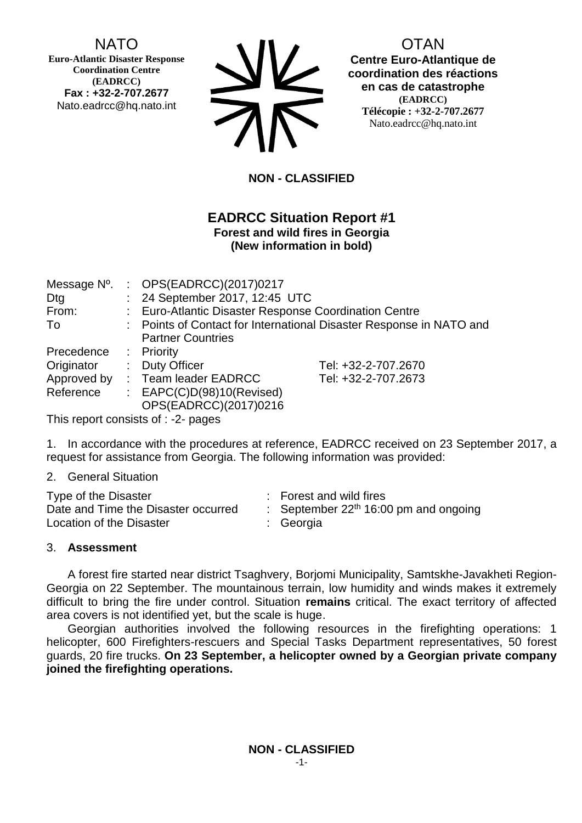## NATO

**Euro-Atlantic Disaster Response Coordination Centre (EADRCC) Fax : +32-2-707.2677** Nato.eadrcc@hq.nato.int

| <b>SIV</b> |
|------------|
| <b>NV</b>  |

# OTAN

**Centre Euro-Atlantique de coordination des réactions en cas de catastrophe (EADRCC) Télécopie : +32-2-707.2677** Nato.eadrcc@hq.nato.int

**NON - CLASSIFIED**

### **EADRCC Situation Report #1 Forest and wild fires in Georgia (New information in bold)**

|                       | Message Nº. : OPS(EADRCC)(2017)0217                                 |                     |  |  |  |
|-----------------------|---------------------------------------------------------------------|---------------------|--|--|--|
| Dtg                   | : 24 September 2017, 12:45 UTC                                      |                     |  |  |  |
| From:                 | : Euro-Atlantic Disaster Response Coordination Centre               |                     |  |  |  |
| To                    | : Points of Contact for International Disaster Response in NATO and |                     |  |  |  |
|                       | <b>Partner Countries</b>                                            |                     |  |  |  |
| Precedence : Priority |                                                                     |                     |  |  |  |
| Originator            | : Duty Officer                                                      | Tel: +32-2-707.2670 |  |  |  |
| Approved by           | : Team leader EADRCC                                                | Tel: +32-2-707.2673 |  |  |  |
| Reference             | : $EAPC(C)D(98)10(Revised)$                                         |                     |  |  |  |
|                       | OPS(EADRCC)(2017)0216                                               |                     |  |  |  |
|                       |                                                                     |                     |  |  |  |

This report consists of : -2- pages

1. In accordance with the procedures at reference, EADRCC received on 23 September 2017, a request for assistance from Georgia. The following information was provided:

2. General Situation

| Type of the Disaster                | : Forest and wild fires                 |
|-------------------------------------|-----------------------------------------|
| Date and Time the Disaster occurred | : September $22th$ 16:00 pm and ongoing |
| Location of the Disaster            | : Georgia                               |

### 3. **Assessment**

A forest fire started near district Tsaghvery, Borjomi Municipality, Samtskhe-Javakheti Region-Georgia on 22 September. The mountainous terrain, low humidity and winds makes it extremely difficult to bring the fire under control. Situation **remains** critical. The exact territory of affected area covers is not identified yet, but the scale is huge.

Georgian authorities involved the following resources in the firefighting operations: 1 helicopter, 600 Firefighters-rescuers and Special Tasks Department representatives, 50 forest guards, 20 fire trucks. **On 23 September, a helicopter owned by a Georgian private company joined the firefighting operations.**